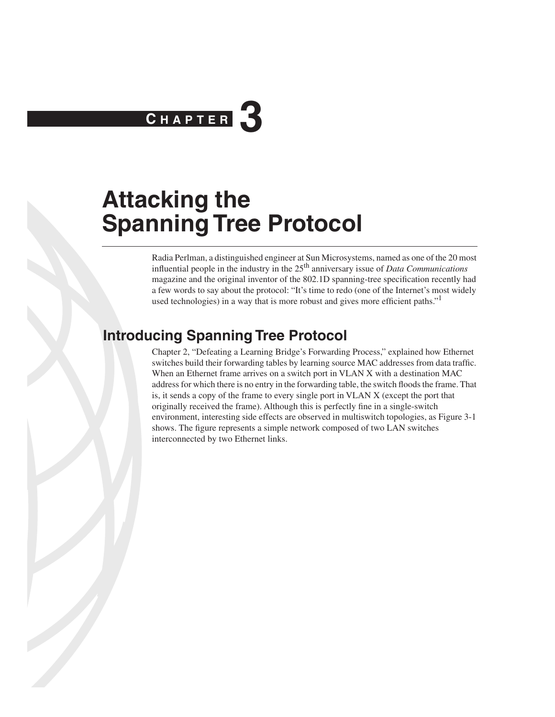# **C H <sup>A</sup> <sup>P</sup> <sup>T</sup> <sup>E</sup> <sup>R</sup> 3**

## **Attacking the Spanning Tree Protocol**

Radia Perlman, a distinguished engineer at Sun Microsystems, named as one of the 20 most influential people in the industry in the 25<sup>th</sup> anniversary issue of *Data Communications* magazine and the original inventor of the 802.1D spanning-tree specification recently had a few words to say about the protocol: "It's time to redo (one of the Internet's most widely used technologies) in a way that is more robust and gives more efficient paths."<sup>1</sup>

## **Introducing Spanning Tree Protocol**

Chapter 2, "Defeating a Learning Bridge's Forwarding Process," explained how Ethernet switches build their forwarding tables by learning source MAC addresses from data traffic. When an Ethernet frame arrives on a switch port in VLAN X with a destination MAC address for which there is no entry in the forwarding table, the switch floods the frame. That is, it sends a copy of the frame to every single port in VLAN X (except the port that originally received the frame). Although this is perfectly fine in a single-switch environment, interesting side effects are observed in multiswitch topologies, as Figure 3-1 shows. The figure represents a simple network composed of two LAN switches interconnected by two Ethernet links.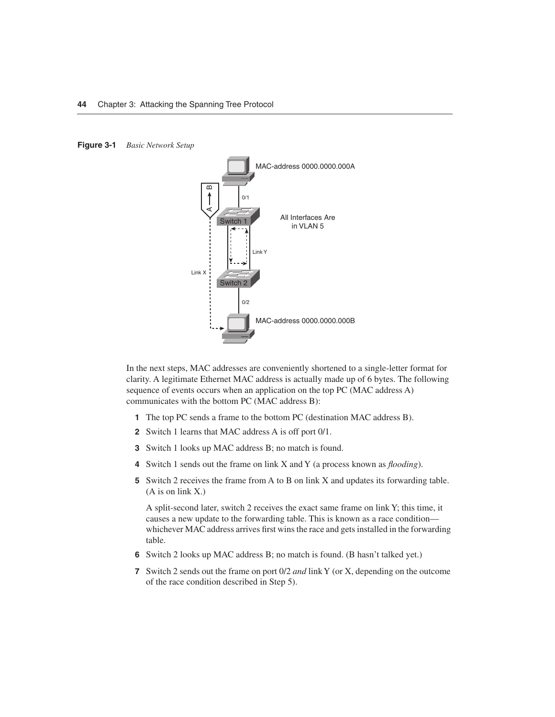#### **Figure 3-1** *Basic Network Setup*



In the next steps, MAC addresses are conveniently shortened to a single-letter format for clarity. A legitimate Ethernet MAC address is actually made up of 6 bytes. The following sequence of events occurs when an application on the top PC (MAC address A) communicates with the bottom PC (MAC address B):

- **1** The top PC sends a frame to the bottom PC (destination MAC address B).
- **2** Switch 1 learns that MAC address A is off port 0/1.
- **3** Switch 1 looks up MAC address B; no match is found.
- **4** Switch 1 sends out the frame on link X and Y (a process known as *flooding*).
- **5** Switch 2 receives the frame from A to B on link X and updates its forwarding table. (A is on link X.)

A split-second later, switch 2 receives the exact same frame on link Y; this time, it causes a new update to the forwarding table. This is known as a race condition whichever MAC address arrives first wins the race and gets installed in the forwarding table.

- **6** Switch 2 looks up MAC address B; no match is found. (B hasn't talked yet.)
- **7** Switch 2 sends out the frame on port 0/2 *and* link Y (or X, depending on the outcome of the race condition described in Step 5).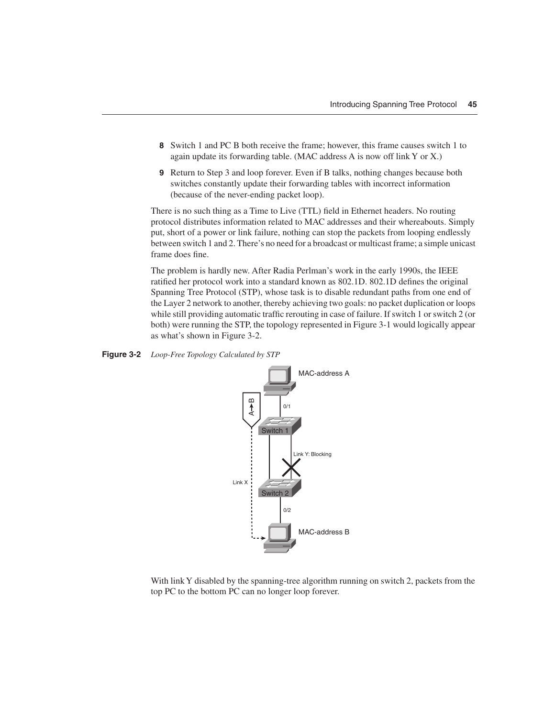- **8** Switch 1 and PC B both receive the frame; however, this frame causes switch 1 to again update its forwarding table. (MAC address A is now off link Y or X.)
- **9** Return to Step 3 and loop forever. Even if B talks, nothing changes because both switches constantly update their forwarding tables with incorrect information (because of the never-ending packet loop).

There is no such thing as a Time to Live (TTL) field in Ethernet headers. No routing protocol distributes information related to MAC addresses and their whereabouts. Simply put, short of a power or link failure, nothing can stop the packets from looping endlessly between switch 1 and 2. There's no need for a broadcast or multicast frame; a simple unicast frame does fine.

The problem is hardly new. After Radia Perlman's work in the early 1990s, the IEEE ratified her protocol work into a standard known as 802.1D. 802.1D defines the original Spanning Tree Protocol (STP), whose task is to disable redundant paths from one end of the Layer 2 network to another, thereby achieving two goals: no packet duplication or loops while still providing automatic traffic rerouting in case of failure. If switch 1 or switch 2 (or both) were running the STP, the topology represented in Figure 3-1 would logically appear as what's shown in Figure 3-2.

**Figure 3-2** *Loop-Free Topology Calculated by STP*



With link Y disabled by the spanning-tree algorithm running on switch 2, packets from the top PC to the bottom PC can no longer loop forever.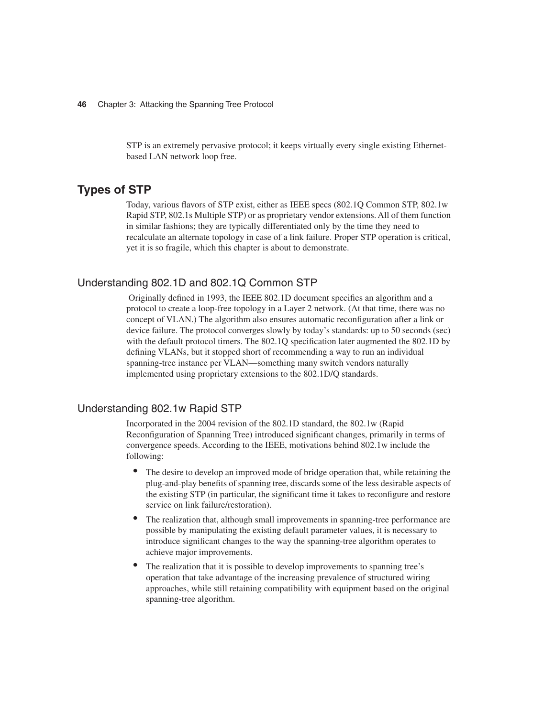STP is an extremely pervasive protocol; it keeps virtually every single existing Ethernetbased LAN network loop free.

## **Types of STP**

Today, various flavors of STP exist, either as IEEE specs (802.1Q Common STP, 802.1w Rapid STP, 802.1s Multiple STP) or as proprietary vendor extensions. All of them function in similar fashions; they are typically differentiated only by the time they need to recalculate an alternate topology in case of a link failure. Proper STP operation is critical, yet it is so fragile, which this chapter is about to demonstrate.

#### Understanding 802.1D and 802.1Q Common STP

 Originally defined in 1993, the IEEE 802.1D document specifies an algorithm and a protocol to create a loop-free topology in a Layer 2 network. (At that time, there was no concept of VLAN.) The algorithm also ensures automatic reconfiguration after a link or device failure. The protocol converges slowly by today's standards: up to 50 seconds (sec) with the default protocol timers. The 802.1Q specification later augmented the 802.1D by defining VLANs, but it stopped short of recommending a way to run an individual spanning-tree instance per VLAN—something many switch vendors naturally implemented using proprietary extensions to the 802.1D/Q standards.

## Understanding 802.1w Rapid STP

Incorporated in the 2004 revision of the 802.1D standard, the 802.1w (Rapid Reconfiguration of Spanning Tree) introduced significant changes, primarily in terms of convergence speeds. According to the IEEE, motivations behind 802.1w include the following:

- The desire to develop an improved mode of bridge operation that, while retaining the plug-and-play benefits of spanning tree, discards some of the less desirable aspects of the existing STP (in particular, the significant time it takes to reconfigure and restore service on link failure/restoration).
- The realization that, although small improvements in spanning-tree performance are possible by manipulating the existing default parameter values, it is necessary to introduce significant changes to the way the spanning-tree algorithm operates to achieve major improvements.
- The realization that it is possible to develop improvements to spanning tree's operation that take advantage of the increasing prevalence of structured wiring approaches, while still retaining compatibility with equipment based on the original spanning-tree algorithm.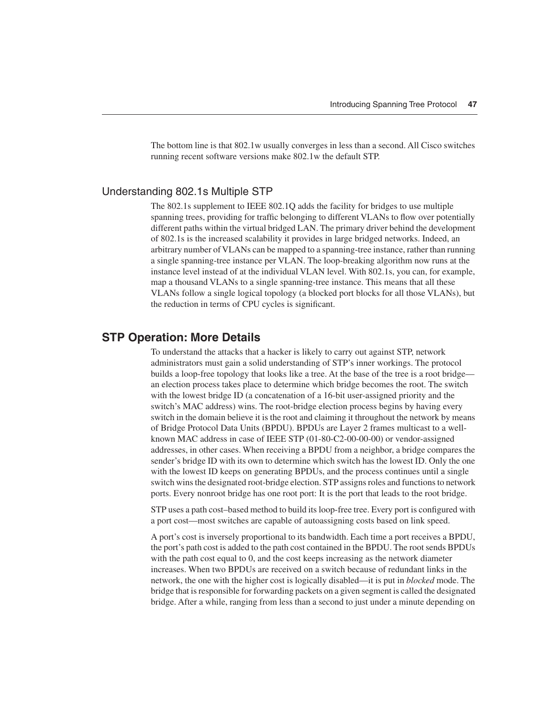The bottom line is that 802.1w usually converges in less than a second. All Cisco switches running recent software versions make 802.1w the default STP.

#### Understanding 802.1s Multiple STP

The 802.1s supplement to IEEE 802.1Q adds the facility for bridges to use multiple spanning trees, providing for traffic belonging to different VLANs to flow over potentially different paths within the virtual bridged LAN. The primary driver behind the development of 802.1s is the increased scalability it provides in large bridged networks. Indeed, an arbitrary number of VLANs can be mapped to a spanning-tree instance, rather than running a single spanning-tree instance per VLAN. The loop-breaking algorithm now runs at the instance level instead of at the individual VLAN level. With 802.1s, you can, for example, map a thousand VLANs to a single spanning-tree instance. This means that all these VLANs follow a single logical topology (a blocked port blocks for all those VLANs), but the reduction in terms of CPU cycles is significant.

#### **STP Operation: More Details**

To understand the attacks that a hacker is likely to carry out against STP, network administrators must gain a solid understanding of STP's inner workings. The protocol builds a loop-free topology that looks like a tree. At the base of the tree is a root bridge an election process takes place to determine which bridge becomes the root. The switch with the lowest bridge ID (a concatenation of a 16-bit user-assigned priority and the switch's MAC address) wins. The root-bridge election process begins by having every switch in the domain believe it is the root and claiming it throughout the network by means of Bridge Protocol Data Units (BPDU). BPDUs are Layer 2 frames multicast to a wellknown MAC address in case of IEEE STP (01-80-C2-00-00-00) or vendor-assigned addresses, in other cases. When receiving a BPDU from a neighbor, a bridge compares the sender's bridge ID with its own to determine which switch has the lowest ID. Only the one with the lowest ID keeps on generating BPDUs, and the process continues until a single switch wins the designated root-bridge election. STP assigns roles and functions to network ports. Every nonroot bridge has one root port: It is the port that leads to the root bridge.

STP uses a path cost–based method to build its loop-free tree. Every port is configured with a port cost—most switches are capable of autoassigning costs based on link speed.

A port's cost is inversely proportional to its bandwidth. Each time a port receives a BPDU, the port's path cost is added to the path cost contained in the BPDU. The root sends BPDUs with the path cost equal to 0, and the cost keeps increasing as the network diameter increases. When two BPDUs are received on a switch because of redundant links in the network, the one with the higher cost is logically disabled—it is put in *blocked* mode. The bridge that is responsible for forwarding packets on a given segment is called the designated bridge. After a while, ranging from less than a second to just under a minute depending on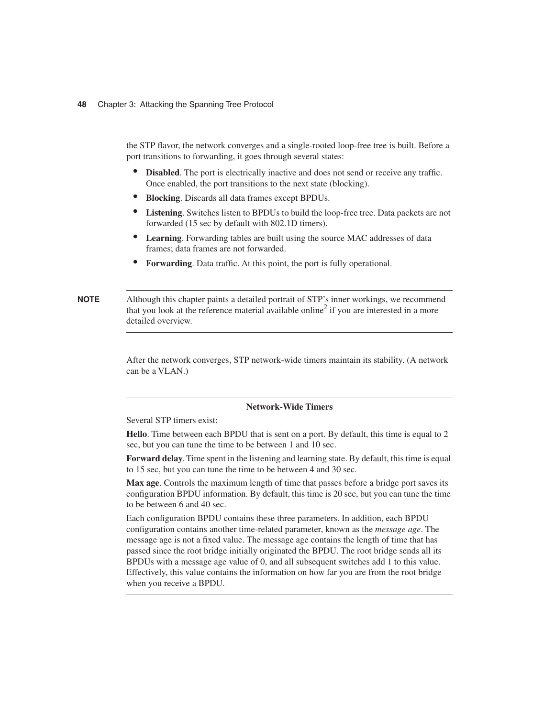the STP flavor, the network converges and a single-rooted loop-free tree is built. Before a port transitions to forwarding, it goes through several states:

- **Disabled**. The port is electrically inactive and does not send or receive any traffic. Once enabled, the port transitions to the next state (blocking).
- **Blocking**. Discards all data frames except BPDUs.
- **Listening**. Switches listen to BPDUs to build the loop-free tree. Data packets are not forwarded (15 sec by default with 802.1D timers).
- **Learning**. Forwarding tables are built using the source MAC addresses of data frames; data frames are not forwarded.
- **Forwarding**. Data traffic. At this point, the port is fully operational.

**NOTE** Although this chapter paints a detailed portrait of STP's inner workings, we recommend that you look at the reference material available online<sup>2</sup> if you are interested in a more detailed overview.

> After the network converges, STP network-wide timers maintain its stability. (A network can be a VLAN.)

#### **Network-Wide Timers**

Several STP timers exist:

**Hello**. Time between each BPDU that is sent on a port. By default, this time is equal to 2 sec, but you can tune the time to be between 1 and 10 sec.

**Forward delay**. Time spent in the listening and learning state. By default, this time is equal to 15 sec, but you can tune the time to be between 4 and 30 sec.

**Max age**. Controls the maximum length of time that passes before a bridge port saves its configuration BPDU information. By default, this time is 20 sec, but you can tune the time to be between 6 and 40 sec.

Each configuration BPDU contains these three parameters. In addition, each BPDU configuration contains another time-related parameter, known as the *message age*. The message age is not a fixed value. The message age contains the length of time that has passed since the root bridge initially originated the BPDU. The root bridge sends all its BPDUs with a message age value of 0, and all subsequent switches add 1 to this value. Effectively, this value contains the information on how far you are from the root bridge when you receive a BPDU.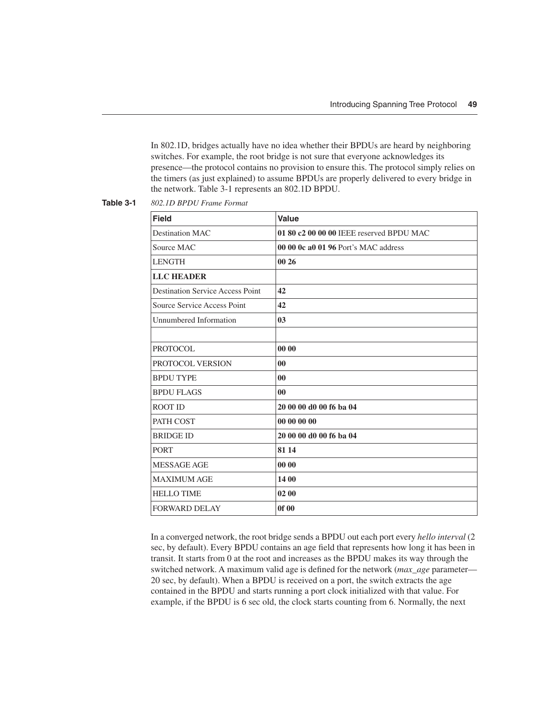In 802.1D, bridges actually have no idea whether their BPDUs are heard by neighboring switches. For example, the root bridge is not sure that everyone acknowledges its presence—the protocol contains no provision to ensure this. The protocol simply relies on the timers (as just explained) to assume BPDUs are properly delivered to every bridge in the network. Table 3-1 represents an 802.1D BPDU.

**Table 3-1** *802.1D BPDU Frame Format*

| <b>Field</b>                            | Value                                    |
|-----------------------------------------|------------------------------------------|
| <b>Destination MAC</b>                  | 01 80 c2 00 00 00 IEEE reserved BPDU MAC |
| Source MAC                              | 00 00 0c a0 01 96 Port's MAC address     |
| <b>LENGTH</b>                           | 0026                                     |
| <b>LLC HEADER</b>                       |                                          |
| <b>Destination Service Access Point</b> | 42                                       |
| Source Service Access Point             | 42                                       |
| Unnumbered Information                  | 0 <sub>3</sub>                           |
|                                         |                                          |
| <b>PROTOCOL</b>                         | 00 00                                    |
| PROTOCOL VERSION                        | 00                                       |
| <b>BPDU TYPE</b>                        | $\bf{00}$                                |
| <b>BPDU FLAGS</b>                       | 0 <sub>0</sub>                           |
| <b>ROOT ID</b>                          | 20 00 00 d0 00 f6 ba 04                  |
| PATH COST                               | 00 00 00 00                              |
| <b>BRIDGE ID</b>                        | 20 00 00 d0 00 f6 ba 04                  |
| <b>PORT</b>                             | 81 14                                    |
| <b>MESSAGE AGE</b>                      | 00 00                                    |
| <b>MAXIMUM AGE</b>                      | 14 00                                    |
| <b>HELLO TIME</b>                       | 0200                                     |
| <b>FORWARD DELAY</b>                    | <b>Of 00</b>                             |

In a converged network, the root bridge sends a BPDU out each port every *hello interval* (2 sec, by default). Every BPDU contains an age field that represents how long it has been in transit. It starts from 0 at the root and increases as the BPDU makes its way through the switched network. A maximum valid age is defined for the network (*max\_age* parameter— 20 sec, by default). When a BPDU is received on a port, the switch extracts the age contained in the BPDU and starts running a port clock initialized with that value. For example, if the BPDU is 6 sec old, the clock starts counting from 6. Normally, the next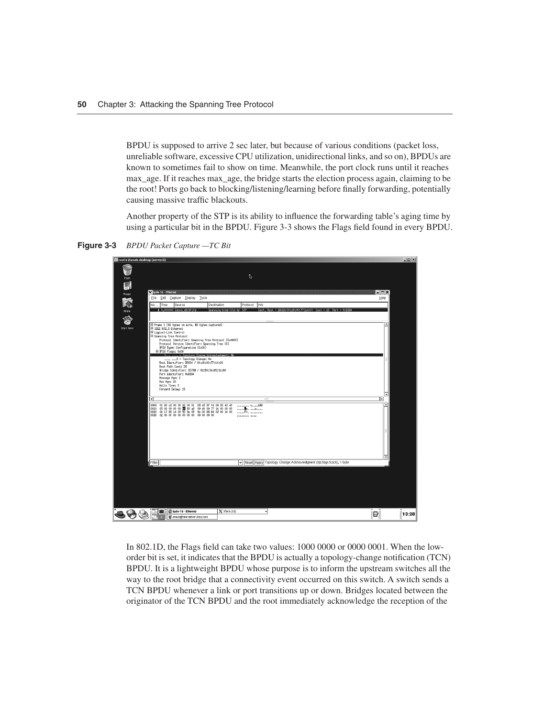BPDU is supposed to arrive 2 sec later, but because of various conditions (packet loss, unreliable software, excessive CPU utilization, unidirectional links, and so on), BPDUs are known to sometimes fail to show on time. Meanwhile, the port clock runs until it reaches max\_age. If it reaches max\_age, the bridge starts the election process again, claiming to be the root! Ports go back to blocking/listening/learning before finally forwarding, potentially causing massive traffic blackouts.

Another property of the STP is its ability to influence the forwarding table's aging time by using a particular bit in the BPDU. Figure 3-3 shows the Flags field found in every BPDU.

**Figure 3-3** *BPDU Packet Capture —TC Bit*



In 802.1D, the Flags field can take two values: 1000 0000 or 0000 0001. When the loworder bit is set, it indicates that the BPDU is actually a topology-change notification (TCN) BPDU. It is a lightweight BPDU whose purpose is to inform the upstream switches all the way to the root bridge that a connectivity event occurred on this switch. A switch sends a TCN BPDU whenever a link or port transitions up or down. Bridges located between the originator of the TCN BPDU and the root immediately acknowledge the reception of the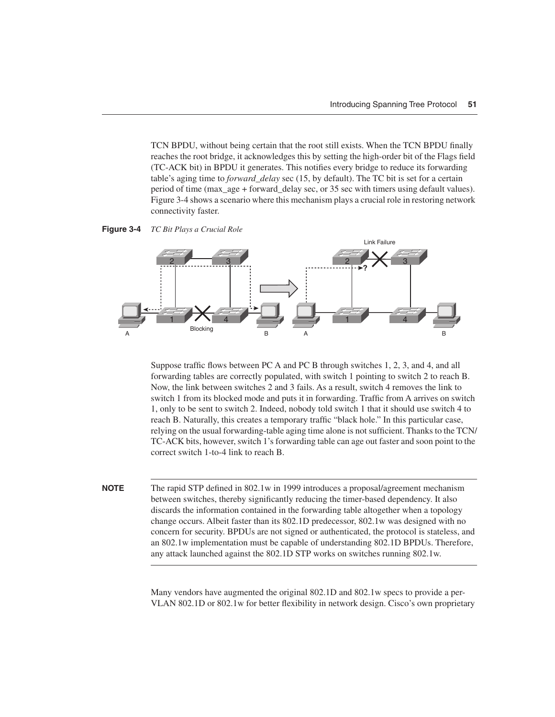TCN BPDU, without being certain that the root still exists. When the TCN BPDU finally reaches the root bridge, it acknowledges this by setting the high-order bit of the Flags field (TC-ACK bit) in BPDU it generates. This notifies every bridge to reduce its forwarding table's aging time to *forward\_delay* sec (15, by default). The TC bit is set for a certain period of time (max\_age + forward\_delay sec, or 35 sec with timers using default values). Figure 3-4 shows a scenario where this mechanism plays a crucial role in restoring network connectivity faster.





Suppose traffic flows between PC A and PC B through switches 1, 2, 3, and 4, and all forwarding tables are correctly populated, with switch 1 pointing to switch 2 to reach B. Now, the link between switches 2 and 3 fails. As a result, switch 4 removes the link to switch 1 from its blocked mode and puts it in forwarding. Traffic from A arrives on switch 1, only to be sent to switch 2. Indeed, nobody told switch 1 that it should use switch 4 to reach B. Naturally, this creates a temporary traffic "black hole." In this particular case, relying on the usual forwarding-table aging time alone is not sufficient. Thanks to the TCN/ TC-ACK bits, however, switch 1's forwarding table can age out faster and soon point to the correct switch 1-to-4 link to reach B.

**NOTE** The rapid STP defined in 802.1w in 1999 introduces a proposal/agreement mechanism between switches, thereby significantly reducing the timer-based dependency. It also discards the information contained in the forwarding table altogether when a topology change occurs. Albeit faster than its 802.1D predecessor, 802.1w was designed with no concern for security. BPDUs are not signed or authenticated, the protocol is stateless, and an 802.1w implementation must be capable of understanding 802.1D BPDUs. Therefore, any attack launched against the 802.1D STP works on switches running 802.1w.

> Many vendors have augmented the original 802.1D and 802.1w specs to provide a per-VLAN 802.1D or 802.1w for better flexibility in network design. Cisco's own proprietary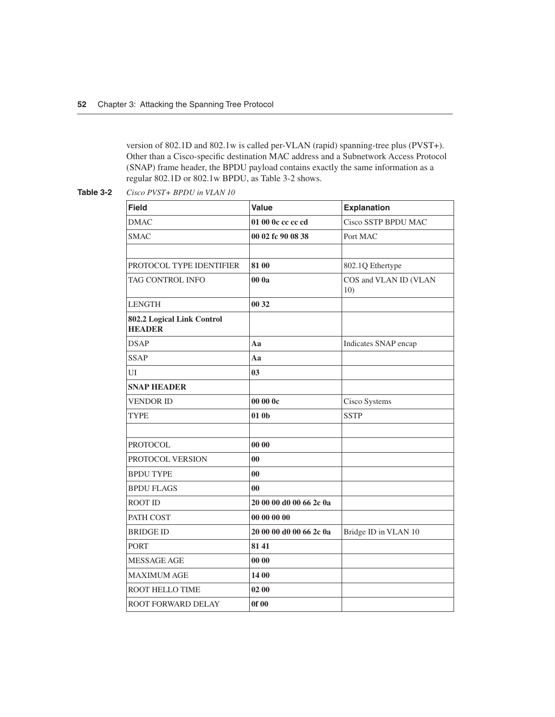version of 802.1D and 802.1w is called per-VLAN (rapid) spanning-tree plus (PVST+). Other than a Cisco-specific destination MAC address and a Subnetwork Access Protocol (SNAP) frame header, the BPDU payload contains exactly the same information as a regular 802.1D or 802.1w BPDU, as Table 3-2 shows.

**Table 3-2** *Cisco PVST+ BPDU in VLAN 10* 

| <b>Field</b>                                | <b>Value</b>            | <b>Explanation</b>           |  |  |
|---------------------------------------------|-------------------------|------------------------------|--|--|
| <b>DMAC</b>                                 | 01 00 0c cc cc cd       | Cisco SSTP BPDU MAC          |  |  |
| <b>SMAC</b>                                 | 00 02 fc 90 08 38       | Port MAC                     |  |  |
|                                             |                         |                              |  |  |
| PROTOCOL TYPE IDENTIFIER                    | 81 00                   | 802.1Q Ethertype             |  |  |
| <b>TAG CONTROL INFO</b>                     | 00 0a                   | COS and VLAN ID (VLAN<br>10) |  |  |
| <b>LENGTH</b>                               | 00 32                   |                              |  |  |
| 802.2 Logical Link Control<br><b>HEADER</b> |                         |                              |  |  |
| <b>DSAP</b>                                 | Aa                      | Indicates SNAP encap         |  |  |
| <b>SSAP</b>                                 | Aa                      |                              |  |  |
| UI                                          | 03                      |                              |  |  |
| <b>SNAP HEADER</b>                          |                         |                              |  |  |
| <b>VENDOR ID</b>                            | 00 00 0c                | Cisco Systems                |  |  |
| <b>TYPE</b>                                 | 01 0b                   | <b>SSTP</b>                  |  |  |
|                                             |                         |                              |  |  |
| <b>PROTOCOL</b>                             | 00 00                   |                              |  |  |
| PROTOCOL VERSION                            | 00                      |                              |  |  |
| <b>BPDU TYPE</b>                            | 00                      |                              |  |  |
| <b>BPDU FLAGS</b>                           | $\bf{00}$               |                              |  |  |
| <b>ROOT ID</b>                              | 20 00 00 d0 00 66 2c 0a |                              |  |  |
| PATH COST                                   | 00 00 00 00             |                              |  |  |
| <b>BRIDGE ID</b>                            | 20 00 00 d0 00 66 2c 0a | Bridge ID in VLAN 10         |  |  |
| <b>PORT</b>                                 | 8141                    |                              |  |  |
| <b>MESSAGE AGE</b>                          | 00 00                   |                              |  |  |
| <b>MAXIMUM AGE</b>                          | 14 00                   |                              |  |  |
| ROOT HELLO TIME                             | 02 00                   |                              |  |  |
| ROOT FORWARD DELAY                          | 0f 00                   |                              |  |  |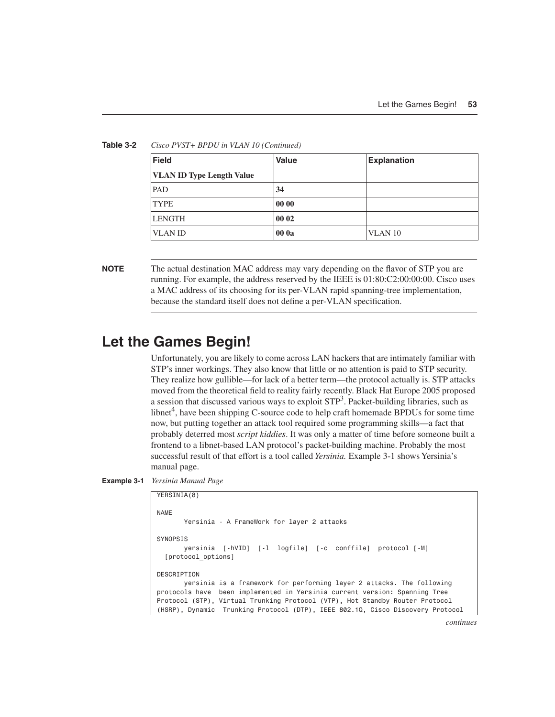| Field                            | <b>Value</b> | <b>Explanation</b> |  |
|----------------------------------|--------------|--------------------|--|
| <b>VLAN ID Type Length Value</b> |              |                    |  |
| <b>PAD</b>                       | 34           |                    |  |
| <b>TYPE</b>                      | 00 00        |                    |  |
| <b>LENGTH</b>                    | 00 02        |                    |  |
| VLAN ID                          | 00 0a        | VLAN <sub>10</sub> |  |

#### **Table 3-2** *Cisco PVST+ BPDU in VLAN 10 (Continued)*

**NOTE** The actual destination MAC address may vary depending on the flavor of STP you are running. For example, the address reserved by the IEEE is 01:80:C2:00:00:00. Cisco uses a MAC address of its choosing for its per-VLAN rapid spanning-tree implementation, because the standard itself does not define a per-VLAN specification.

## **Let the Games Begin!**

Unfortunately, you are likely to come across LAN hackers that are intimately familiar with STP's inner workings. They also know that little or no attention is paid to STP security. They realize how gullible—for lack of a better term—the protocol actually is. STP attacks moved from the theoretical field to reality fairly recently. Black Hat Europe 2005 proposed a session that discussed various ways to exploit  $STP<sup>3</sup>$ . Packet-building libraries, such as libnet<sup>4</sup>, have been shipping C-source code to help craft homemade BPDUs for some time now, but putting together an attack tool required some programming skills—a fact that probably deterred most *script kiddies*. It was only a matter of time before someone built a frontend to a libnet-based LAN protocol's packet-building machine. Probably the most successful result of that effort is a tool called *Yersinia.* Example 3-1 shows Yersinia's manual page.

#### **Example 3-1** *Yersinia Manual Page*

| YERSINIA(8)                                                                                                                                                                                                                                                                                                                          |
|--------------------------------------------------------------------------------------------------------------------------------------------------------------------------------------------------------------------------------------------------------------------------------------------------------------------------------------|
| <b>NAME</b><br>Yersinia - A FrameWork for layer 2 attacks                                                                                                                                                                                                                                                                            |
| SYNOPSIS<br>versinia [-hVID] [-1 logfile] [-c conffile] protocol [-M]<br>[protocol options]                                                                                                                                                                                                                                          |
| DESCRIPTION<br>yersinia is a framework for performing layer 2 attacks. The following<br>protocols have been implemented in Yersinia current version: Spanning Tree<br>Protocol (STP), Virtual Trunking Protocol (VTP), Hot Standby Router Protocol<br>(HSRP), Dynamic Trunking Protocol (DTP), IEEE 802.1Q, Cisco Discovery Protocol |

*continues*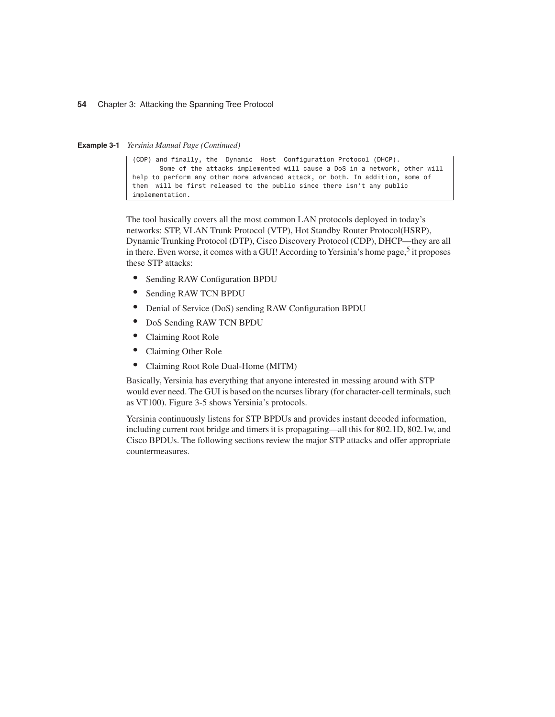#### **Example 3-1** *Yersinia Manual Page (Continued)*

```
(CDP) and finally, the Dynamic Host Configuration Protocol (DHCP).
       Some of the attacks implemented will cause a DoS in a network, other will
help to perform any other more advanced attack, or both. In addition, some of
them will be first released to the public since there isn't any public
implementation.
```
The tool basically covers all the most common LAN protocols deployed in today's networks: STP, VLAN Trunk Protocol (VTP), Hot Standby Router Protocol(HSRP), Dynamic Trunking Protocol (DTP), Cisco Discovery Protocol (CDP), DHCP—they are all in there. Even worse, it comes with a GUI! According to Yersinia's home page,<sup>5</sup> it proposes these STP attacks:

- Sending RAW Configuration BPDU
- Sending RAW TCN BPDU
- Denial of Service (DoS) sending RAW Configuration BPDU
- DoS Sending RAW TCN BPDU
- Claiming Root Role
- Claiming Other Role
- Claiming Root Role Dual-Home (MITM)

Basically, Yersinia has everything that anyone interested in messing around with STP would ever need. The GUI is based on the ncurses library (for character-cell terminals, such as VT100). Figure 3-5 shows Yersinia's protocols.

Yersinia continuously listens for STP BPDUs and provides instant decoded information, including current root bridge and timers it is propagating—all this for 802.1D, 802.1w, and Cisco BPDUs. The following sections review the major STP attacks and offer appropriate countermeasures.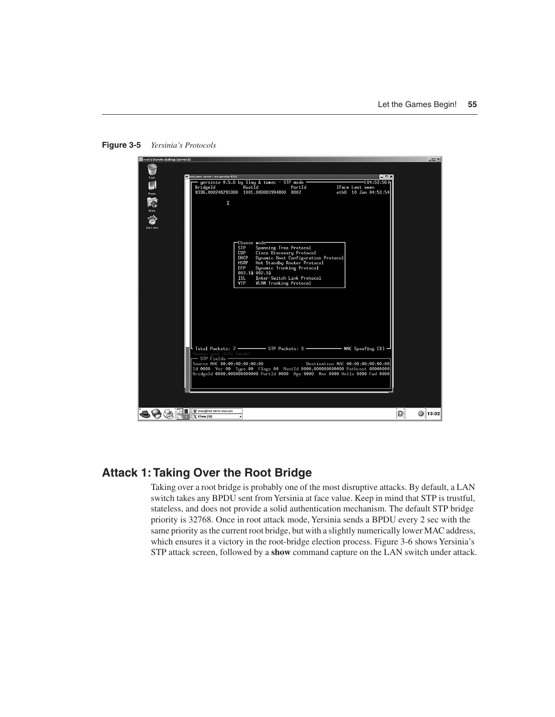

#### **Figure 3-5** *Yersinia's Protocols*

## **Attack 1: Taking Over the Root Bridge**

Taking over a root bridge is probably one of the most disruptive attacks. By default, a LAN switch takes any BPDU sent from Yersinia at face value. Keep in mind that STP is trustful, stateless, and does not provide a solid authentication mechanism. The default STP bridge priority is 32768. Once in root attack mode, Yersinia sends a BPDU every 2 sec with the same priority as the current root bridge, but with a slightly numerically lower MAC address, which ensures it a victory in the root-bridge election process. Figure 3-6 shows Yersinia's STP attack screen, followed by a **show** command capture on the LAN switch under attack.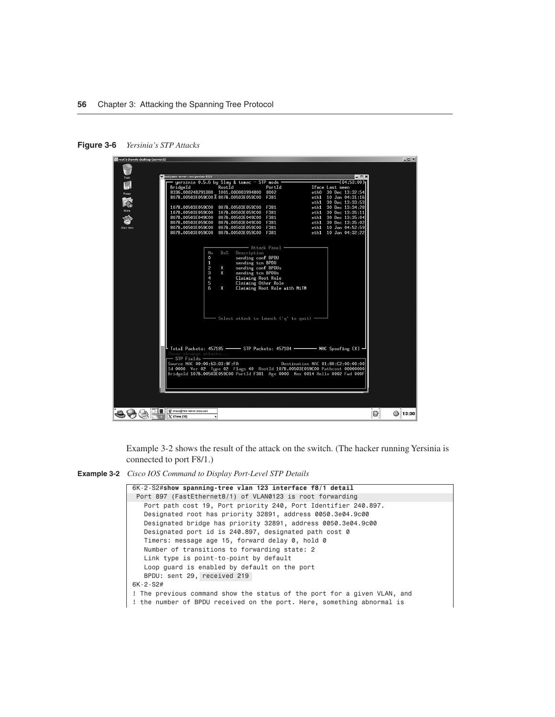**Figure 3-6** *Yersinia's STP Attacks*

| Faroot's Diavolo desktop (server:5) |                                                                              | $ \Box$ $\times$      |
|-------------------------------------|------------------------------------------------------------------------------|-----------------------|
|                                     |                                                                              |                       |
|                                     | not@new-server:-/src/yersinia-0.5.6<br>$ \sim$ $\times$                      |                       |
| Trash                               | yersinia 0.5.6 by Slay & tomac - STP mode -<br>$-[04:53:00]$                 |                       |
| $\mathbf{L}$                        | PortId<br>Iface Last seen<br>RootId<br>BridgeId                              |                       |
|                                     | 8336.00024B291D80 1001.00D003994800 8002<br>eth0 30 Dec 13:32:54             |                       |
| Ropey H                             | 807B.00503E059C00 2807B.00503E059C00 F381<br>eth1 10 Jan 04:31:16            |                       |
|                                     | eth1 30 Dec 13:33:53                                                         |                       |
|                                     | 107B.00503E059C00<br>807B.00503E059C00 F381<br>eth1 30 Dec 13:34:28          |                       |
|                                     | 107B.00503E059C00 107B.00503E059C00 F381<br>eth1 30 Dec 13:35:11             |                       |
|                                     | 807B.00503E049C00 F381<br>eth1 30 Dec 13:35:04<br>807B.00503E049C00          |                       |
|                                     | 807B.00503E049C00 F381<br>807B.00503E059C00<br>eth1 30 Dec 13:35:02          |                       |
| Start Here                          | 807B.00503E059C00<br>807B.00503E059C00 F381<br>eth1 10 Jan 04:52:59          |                       |
|                                     | 807B.00503E059C00<br>807B.00503E059C00 F381<br>eth1 10 Jan 04:32:22          |                       |
|                                     |                                                                              |                       |
|                                     | — Attack Panel                                                               |                       |
|                                     | DoS<br>No<br>Description                                                     |                       |
|                                     | $\mathbf{o}$<br>sending conf BPDU                                            |                       |
|                                     | 1<br>sending tcn BPDU                                                        |                       |
|                                     | $\overline{\mathbf{c}}$<br>X<br>sending conf BPDUs                           |                       |
|                                     | 3<br>X<br>sending tcn BPDUs                                                  |                       |
|                                     | 4<br>Claiming Root Role                                                      |                       |
|                                     | 5<br>Claiming Other Role                                                     |                       |
|                                     | 6<br>X<br>Claiming Root Role with MiTM                                       |                       |
|                                     |                                                                              |                       |
|                                     |                                                                              |                       |
|                                     |                                                                              |                       |
|                                     |                                                                              |                       |
|                                     | - Select attack to launch ('q' to quit) -                                    |                       |
|                                     |                                                                              |                       |
|                                     |                                                                              |                       |
|                                     |                                                                              |                       |
|                                     |                                                                              |                       |
|                                     |                                                                              |                       |
|                                     | Total Packets: 457185 - STP Packets: 457184 - MAC Spoofing [X] -             |                       |
|                                     | Those strange attacks                                                        |                       |
|                                     | - STP Fields -                                                               |                       |
|                                     | Source MAC 00:00:63:D3:9F:FA<br>Destination MAC 01:80:C2:00:00:00            |                       |
|                                     | Id 0000 Ver 02 Type 02 Flags 40 RootId 107B.00503E059C00 Pathcost 00000000   |                       |
|                                     | BridgeId 107B.00503E059C00 PortId F381 Age 0000 Max 0014 Hello 0002 Fwd 000F |                       |
|                                     |                                                                              |                       |
|                                     |                                                                              |                       |
|                                     |                                                                              |                       |
|                                     |                                                                              |                       |
|                                     |                                                                              |                       |
|                                     | emacs@new-server.cisco.com                                                   |                       |
|                                     | $X$ XTerm [10]                                                               | $\mathsf{D}$<br>13:30 |

Example 3-2 shows the result of the attack on the switch. (The hacker running Yersinia is connected to port F8/1.)

**Example 3-2** *Cisco IOS Command to Display Port-Level STP Details* 

```
6K-2-S2#show spanning-tree vlan 123 interface f8/1 detail
 Port 897 (FastEthernet8/1) of VLAN0123 is root forwarding 
    Port path cost 19, Port priority 240, Port Identifier 240.897.
    Designated root has priority 32891, address 0050.3e04.9c00
    Designated bridge has priority 32891, address 0050.3e04.9c00
    Designated port id is 240.897, designated path cost 0
    Timers: message age 15, forward delay 0, hold 0
    Number of transitions to forwarding state: 2
    Link type is point-to-point by default
    Loop guard is enabled by default on the port
    BPDU: sent 29, received 219
6K-2-S2#
! The previous command show the status of the port for a given VLAN, and 
! the number of BPDU received on the port. Here, something abnormal is
```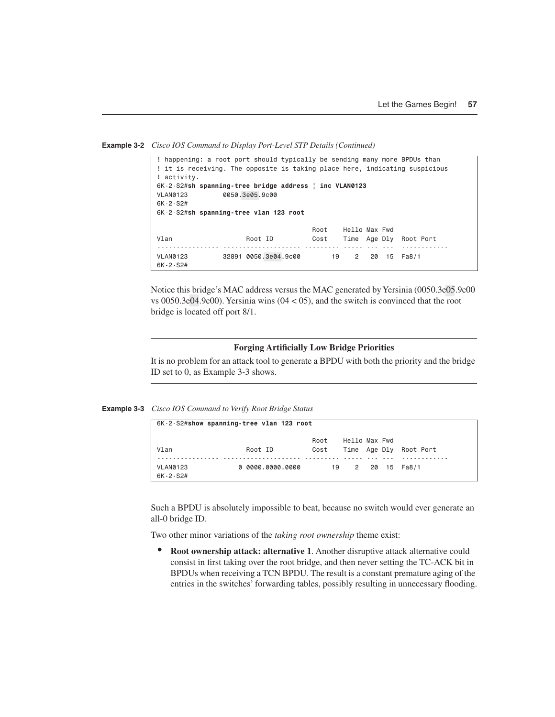*! happening: a root port should typically be sending many more BPDUs than ! it is receiving. The opposite is taking place here, indicating suspicious ! activity. 6K-2-S2#sh spanning-tree bridge address | inc VLAN0123 VLAN0123 0050.3e05.9c00 6K-2-S2# 6K-2-S2#sh spanning-tree vlan 123 root Root Hello Max Fwd Vlan Root ID Cost Time Age Dly Root Port ---------------- -------------------- --------- ----- --- --- ------------ VLAN0123 32891 0050.3e04.9c00 19 2 20 15 Fa8/1 6K-2-S2#*

**Example 3-2** *Cisco IOS Command to Display Port-Level STP Details (Continued)*

Notice this bridge's MAC address versus the MAC generated by Yersinia (0050.3e05.9c00 vs 0050.3e04.9c00). Yersinia wins (04 < 05), and the switch is convinced that the root bridge is located off port 8/1.

#### **Forging Artificially Low Bridge Priorities**

It is no problem for an attack tool to generate a BPDU with both the priority and the bridge ID set to 0, as Example 3-3 shows.

#### **Example 3-3** *Cisco IOS Command to Verify Root Bridge Status*

| 6K-2-S2#show spanning-tree vlan 123 root |                  |              |                  |               |                        |  |
|------------------------------------------|------------------|--------------|------------------|---------------|------------------------|--|
| Vlan                                     | Root ID          | Root<br>Cost |                  | Hello Max Fwd | Time Age Dly Root Port |  |
|                                          |                  |              |                  |               |                        |  |
| VLAN0123<br>$6K - 2 - S2#$               | 0.0000.0000.0000 |              | 19 2 20 15 Fa8/1 |               |                        |  |

Such a BPDU is absolutely impossible to beat, because no switch would ever generate an all-0 bridge ID.

Two other minor variations of the *taking root ownership* theme exist:

• **Root ownership attack: alternative 1**. Another disruptive attack alternative could consist in first taking over the root bridge, and then never setting the TC-ACK bit in BPDUs when receiving a TCN BPDU. The result is a constant premature aging of the entries in the switches' forwarding tables, possibly resulting in unnecessary flooding.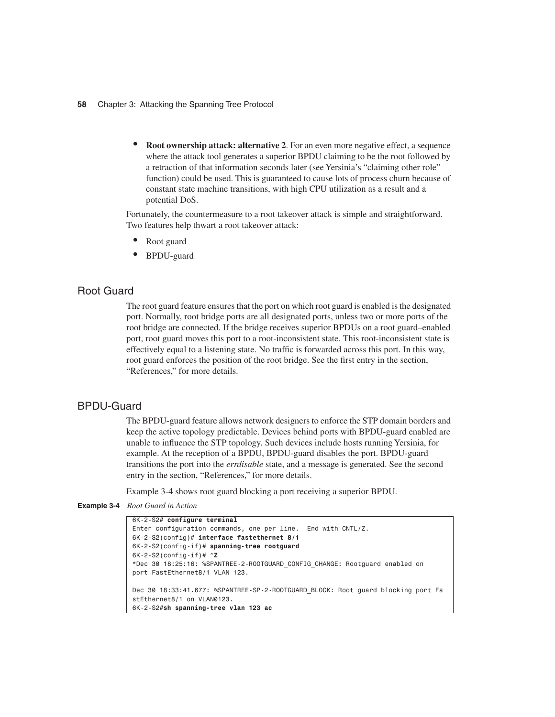**Root ownership attack: alternative 2.** For an even more negative effect, a sequence where the attack tool generates a superior BPDU claiming to be the root followed by a retraction of that information seconds later (see Yersinia's "claiming other role" function) could be used. This is guaranteed to cause lots of process churn because of constant state machine transitions, with high CPU utilization as a result and a potential DoS.

Fortunately, the countermeasure to a root takeover attack is simple and straightforward. Two features help thwart a root takeover attack:

- Root guard
- BPDU-guard

## Root Guard

The root guard feature ensures that the port on which root guard is enabled is the designated port. Normally, root bridge ports are all designated ports, unless two or more ports of the root bridge are connected. If the bridge receives superior BPDUs on a root guard–enabled port, root guard moves this port to a root-inconsistent state. This root-inconsistent state is effectively equal to a listening state. No traffic is forwarded across this port. In this way, root guard enforces the position of the root bridge. See the first entry in the section, "References," for more details.

#### BPDU-Guard

The BPDU-guard feature allows network designers to enforce the STP domain borders and keep the active topology predictable. Devices behind ports with BPDU-guard enabled are unable to influence the STP topology. Such devices include hosts running Yersinia, for example. At the reception of a BPDU, BPDU-guard disables the port. BPDU-guard transitions the port into the *errdisable* state, and a message is generated. See the second entry in the section, "References," for more details.

Example 3-4 shows root guard blocking a port receiving a superior BPDU.

**Example 3-4** *Root Guard in Action* 

```
6K-2-S2# configure terminal
Enter configuration commands, one per line. End with CNTL/Z.
6K-2-S2(config)# interface fastethernet 8/1
6K-2-S2(config-if)# spanning-tree rootguard
6K-2-S2(config-if)# ^Z
*Dec 30 18:25:16: %SPANTREE-2-ROOTGUARD_CONFIG_CHANGE: Rootguard enabled on 
port FastEthernet8/1 VLAN 123.
Dec 30 18:33:41.677: %SPANTREE-SP-2-ROOTGUARD_BLOCK: Root guard blocking port Fa
stEthernet8/1 on VLAN0123.
6K-2-S2#sh spanning-tree vlan 123 ac
```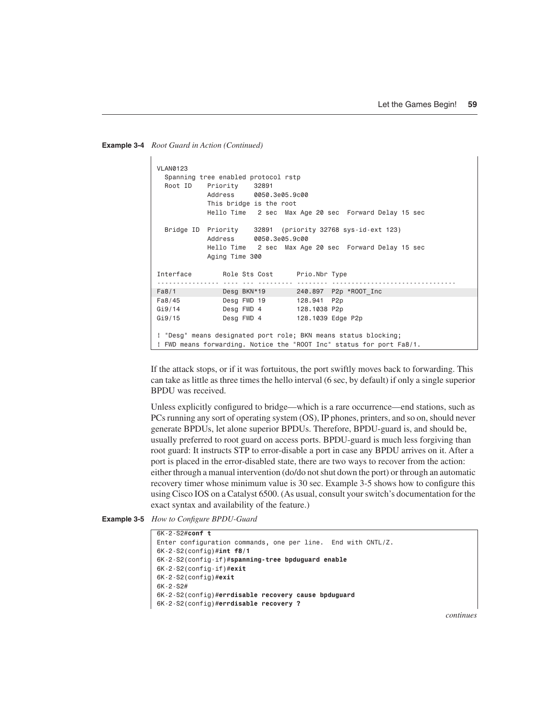**Example 3-4** *Root Guard in Action (Continued)*

```
VLAN0123
  Spanning tree enabled protocol rstp
  Root ID Priority 32891
            Address 0050.3e05.9c00
            This bridge is the root
            Hello Time 2 sec Max Age 20 sec Forward Delay 15 sec
  Bridge ID Priority 32891 (priority 32768 sys-id-ext 123)
            Address 0050.3e05.9c00
            Hello Time 2 sec Max Age 20 sec Forward Delay 15 sec
            Aging Time 300
Interface Role Sts Cost Prio.Nbr Type
---------------- ---- --- --------- -------- --------------------------------
Fa8/1 Desg BKN*19 240.897 P2p *ROOT_Inc
Fa8/45 Desg FWD 19 128.941 P2p 
Gi9/14 Desg FWD 4 128.1038 P2p 
Gi9/15 Desg FWD 4 128.1039 Edge P2p 
! "Desg" means designated port role; BKN means status blocking; 
! FWD means forwarding. Notice the "ROOT Inc" status for port Fa8/1.
```
If the attack stops, or if it was fortuitous, the port swiftly moves back to forwarding. This can take as little as three times the hello interval (6 sec, by default) if only a single superior BPDU was received.

Unless explicitly configured to bridge—which is a rare occurrence—end stations, such as PCs running any sort of operating system (OS), IP phones, printers, and so on, should never generate BPDUs, let alone superior BPDUs. Therefore, BPDU-guard is, and should be, usually preferred to root guard on access ports. BPDU-guard is much less forgiving than root guard: It instructs STP to error-disable a port in case any BPDU arrives on it. After a port is placed in the error-disabled state, there are two ways to recover from the action: either through a manual intervention (do/do not shut down the port) or through an automatic recovery timer whose minimum value is 30 sec. Example 3-5 shows how to configure this using Cisco IOS on a Catalyst 6500. (As usual, consult your switch's documentation for the exact syntax and availability of the feature.)

```
Example 3-5 How to Configure BPDU-Guard
```

```
6K-2-S2#conf t
Enter configuration commands, one per line. End with CNTL/Z.
6K-2-S2(config)#int f8/1
6K-2-S2(config-if)#spanning-tree bpduguard enable
6K-2-S2(config-if)#exit
6K-2-S2(config)#exit
6K-2-S2#
6K-2-S2(config)#errdisable recovery cause bpduguard
6K-2-S2(config)#errdisable recovery ?
```
*continues*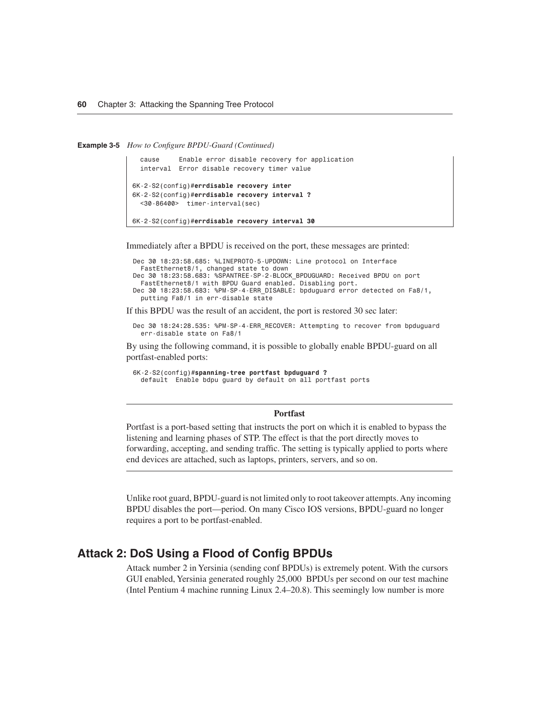**Example 3-5** *How to Configure BPDU-Guard (Continued)*

```
 cause Enable error disable recovery for application
   interval Error disable recovery timer value
6K-2-S2(config)#errdisable recovery inter
6K-2-S2(config)#errdisable recovery interval ?
   <30-86400> timer-interval(sec)
6K-2-S2(config)#errdisable recovery interval 30
```
Immediately after a BPDU is received on the port, these messages are printed:

*Dec 30 18:23:58.685: %LINEPROTO-5-UPDOWN: Line protocol on Interface FastEthernet8/1, changed state to down Dec 30 18:23:58.683: %SPANTREE-SP-2-BLOCK\_BPDUGUARD: Received BPDU on port FastEthernet8/1 with BPDU Guard enabled. Disabling port. Dec 30 18:23:58.683: %PM-SP-4-ERR\_DISABLE: bpduguard error detected on Fa8/1, putting Fa8/1 in err-disable state*

If this BPDU was the result of an accident, the port is restored 30 sec later:

*Dec 30 18:24:28.535: %PM-SP-4-ERR\_RECOVER: Attempting to recover from bpduguard err-disable state on Fa8/1*

By using the following command, it is possible to globally enable BPDU-guard on all portfast-enabled ports:

*6K-2-S2(config)#spanning-tree portfast bpduguard ? default Enable bdpu guard by default on all portfast ports*

#### **Portfast**

Portfast is a port-based setting that instructs the port on which it is enabled to bypass the listening and learning phases of STP. The effect is that the port directly moves to forwarding, accepting, and sending traffic. The setting is typically applied to ports where end devices are attached, such as laptops, printers, servers, and so on.

Unlike root guard, BPDU-guard is not limited only to root takeover attempts. Any incoming BPDU disables the port—period. On many Cisco IOS versions, BPDU-guard no longer requires a port to be portfast-enabled.

## **Attack 2: DoS Using a Flood of Config BPDUs**

Attack number 2 in Yersinia (sending conf BPDUs) is extremely potent. With the cursors GUI enabled, Yersinia generated roughly 25,000 BPDUs per second on our test machine (Intel Pentium 4 machine running Linux 2.4–20.8). This seemingly low number is more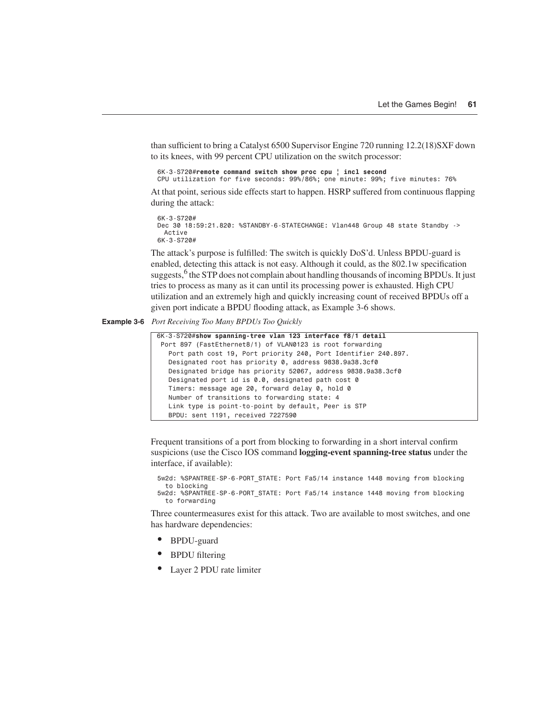than sufficient to bring a Catalyst 6500 Supervisor Engine 720 running 12.2(18)SXF down to its knees, with 99 percent CPU utilization on the switch processor:

*6K-3-S720#remote command switch show proc cpu | incl second CPU utilization for five seconds: 99%/86%; one minute: 99%; five minutes: 76%*

At that point, serious side effects start to happen. HSRP suffered from continuous flapping during the attack:

```
6K-3-S720#
Dec 30 18:59:21.820: %STANDBY-6-STATECHANGE: Vlan448 Group 48 state Standby -> 
 Active
6K-3-S720#
```
The attack's purpose is fulfilled: The switch is quickly DoS'd. Unless BPDU-guard is enabled, detecting this attack is not easy. Although it could, as the 802.1w specification suggests,<sup>6</sup> the STP does not complain about handling thousands of incoming BPDUs. It just tries to process as many as it can until its processing power is exhausted. High CPU utilization and an extremely high and quickly increasing count of received BPDUs off a given port indicate a BPDU flooding attack, as Example 3-6 shows.

#### **Example 3-6** *Port Receiving Too Many BPDUs Too Quickly*

```
6K-3-S720#show spanning-tree vlan 123 interface f8/1 detail
  Port 897 (FastEthernet8/1) of VLAN0123 is root forwarding 
    Port path cost 19, Port priority 240, Port Identifier 240.897.
    Designated root has priority 0, address 9838.9a38.3cf0
    Designated bridge has priority 52067, address 9838.9a38.3cf0
    Designated port id is 0.0, designated path cost 0
    Timers: message age 20, forward delay 0, hold 0
    Number of transitions to forwarding state: 4
    Link type is point-to-point by default, Peer is STP
    BPDU: sent 1191, received 7227590
```
Frequent transitions of a port from blocking to forwarding in a short interval confirm suspicions (use the Cisco IOS command **logging-event spanning-tree status** under the interface, if available):

*5w2d: %SPANTREE-SP-6-PORT\_STATE: Port Fa5/14 instance 1448 moving from blocking to blocking 5w2d: %SPANTREE-SP-6-PORT\_STATE: Port Fa5/14 instance 1448 moving from blocking*

 *to forwarding* 

Three countermeasures exist for this attack. Two are available to most switches, and one has hardware dependencies:

- BPDU-guard
- BPDU filtering
- Layer 2 PDU rate limiter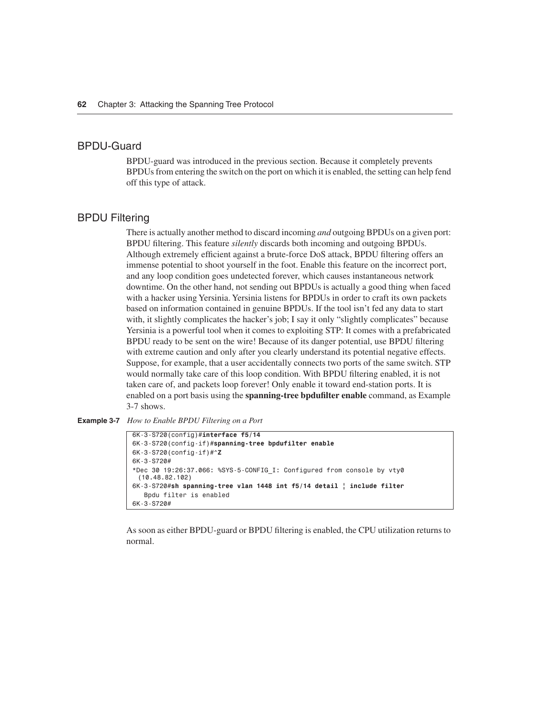#### BPDU-Guard

BPDU-guard was introduced in the previous section. Because it completely prevents BPDUs from entering the switch on the port on which it is enabled, the setting can help fend off this type of attack.

#### BPDU Filtering

There is actually another method to discard incoming *and* outgoing BPDUs on a given port: BPDU filtering. This feature *silently* discards both incoming and outgoing BPDUs. Although extremely efficient against a brute-force DoS attack, BPDU filtering offers an immense potential to shoot yourself in the foot. Enable this feature on the incorrect port, and any loop condition goes undetected forever, which causes instantaneous network downtime. On the other hand, not sending out BPDUs is actually a good thing when faced with a hacker using Yersinia. Yersinia listens for BPDUs in order to craft its own packets based on information contained in genuine BPDUs. If the tool isn't fed any data to start with, it slightly complicates the hacker's job; I say it only "slightly complicates" because Yersinia is a powerful tool when it comes to exploiting STP: It comes with a prefabricated BPDU ready to be sent on the wire! Because of its danger potential, use BPDU filtering with extreme caution and only after you clearly understand its potential negative effects. Suppose, for example, that a user accidentally connects two ports of the same switch. STP would normally take care of this loop condition. With BPDU filtering enabled, it is not taken care of, and packets loop forever! Only enable it toward end-station ports. It is enabled on a port basis using the **spanning-tree bpdufilter enable** command, as Example 3-7 shows.

**Example 3-7** *How to Enable BPDU Filtering on a Port*

```
6K-3-S720(config)#interface f5/14
6K-3-S720(config-if)#spanning-tree bpdufilter enable
6K-3-S720(config-if)#^Z
6K-3-S720#
*Dec 30 19:26:37.066: %SYS-5-CONFIG_I: Configured from console by vty0 
 (10.48.82.102)
6K-3-S720#sh spanning-tree vlan 1448 int f5/14 detail | include filter
    Bpdu filter is enabled
6K-3-S720#
```
As soon as either BPDU-guard or BPDU filtering is enabled, the CPU utilization returns to normal.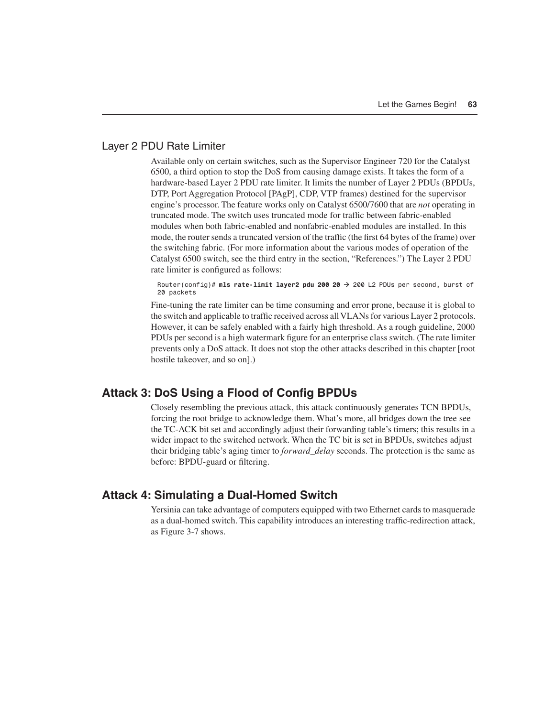#### Layer 2 PDU Rate Limiter

Available only on certain switches, such as the Supervisor Engineer 720 for the Catalyst 6500, a third option to stop the DoS from causing damage exists. It takes the form of a hardware-based Layer 2 PDU rate limiter. It limits the number of Layer 2 PDUs (BPDUs, DTP, Port Aggregation Protocol [PAgP], CDP, VTP frames) destined for the supervisor engine's processor. The feature works only on Catalyst 6500/7600 that are *not* operating in truncated mode. The switch uses truncated mode for traffic between fabric-enabled modules when both fabric-enabled and nonfabric-enabled modules are installed. In this mode, the router sends a truncated version of the traffic (the first 64 bytes of the frame) over the switching fabric. (For more information about the various modes of operation of the Catalyst 6500 switch, see the third entry in the section, "References.") The Layer 2 PDU rate limiter is configured as follows:

*Router(config)# mls rate-limit layer2 pdu 200 20 200 L2 PDUs per second, burst of 20 packets*

Fine-tuning the rate limiter can be time consuming and error prone, because it is global to the switch and applicable to traffic received across all VLANs for various Layer 2 protocols. However, it can be safely enabled with a fairly high threshold. As a rough guideline, 2000 PDUs per second is a high watermark figure for an enterprise class switch. (The rate limiter prevents only a DoS attack. It does not stop the other attacks described in this chapter [root hostile takeover, and so on].)

## **Attack 3: DoS Using a Flood of Config BPDUs**

Closely resembling the previous attack, this attack continuously generates TCN BPDUs, forcing the root bridge to acknowledge them. What's more, all bridges down the tree see the TC-ACK bit set and accordingly adjust their forwarding table's timers; this results in a wider impact to the switched network. When the TC bit is set in BPDUs, switches adjust their bridging table's aging timer to *forward\_delay* seconds. The protection is the same as before: BPDU-guard or filtering.

## **Attack 4: Simulating a Dual-Homed Switch**

Yersinia can take advantage of computers equipped with two Ethernet cards to masquerade as a dual-homed switch. This capability introduces an interesting traffic-redirection attack, as Figure 3-7 shows.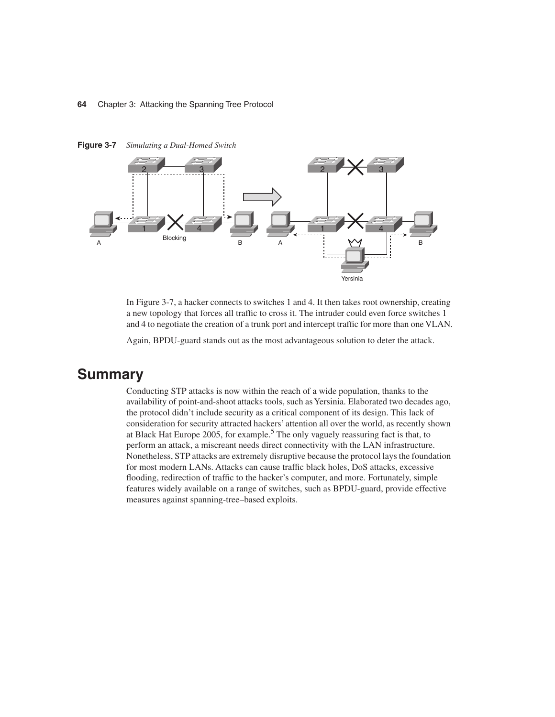

**Figure 3-7** *Simulating a Dual-Homed Switch*

In Figure 3-7, a hacker connects to switches 1 and 4. It then takes root ownership, creating a new topology that forces all traffic to cross it. The intruder could even force switches 1 and 4 to negotiate the creation of a trunk port and intercept traffic for more than one VLAN.

Again, BPDU-guard stands out as the most advantageous solution to deter the attack.

## **Summary**

Conducting STP attacks is now within the reach of a wide population, thanks to the availability of point-and-shoot attacks tools, such as Yersinia. Elaborated two decades ago, the protocol didn't include security as a critical component of its design. This lack of consideration for security attracted hackers' attention all over the world, as recently shown at Black Hat Europe 2005, for example.5 The only vaguely reassuring fact is that, to perform an attack, a miscreant needs direct connectivity with the LAN infrastructure. Nonetheless, STP attacks are extremely disruptive because the protocol lays the foundation for most modern LANs. Attacks can cause traffic black holes, DoS attacks, excessive flooding, redirection of traffic to the hacker's computer, and more. Fortunately, simple features widely available on a range of switches, such as BPDU-guard, provide effective measures against spanning-tree–based exploits.